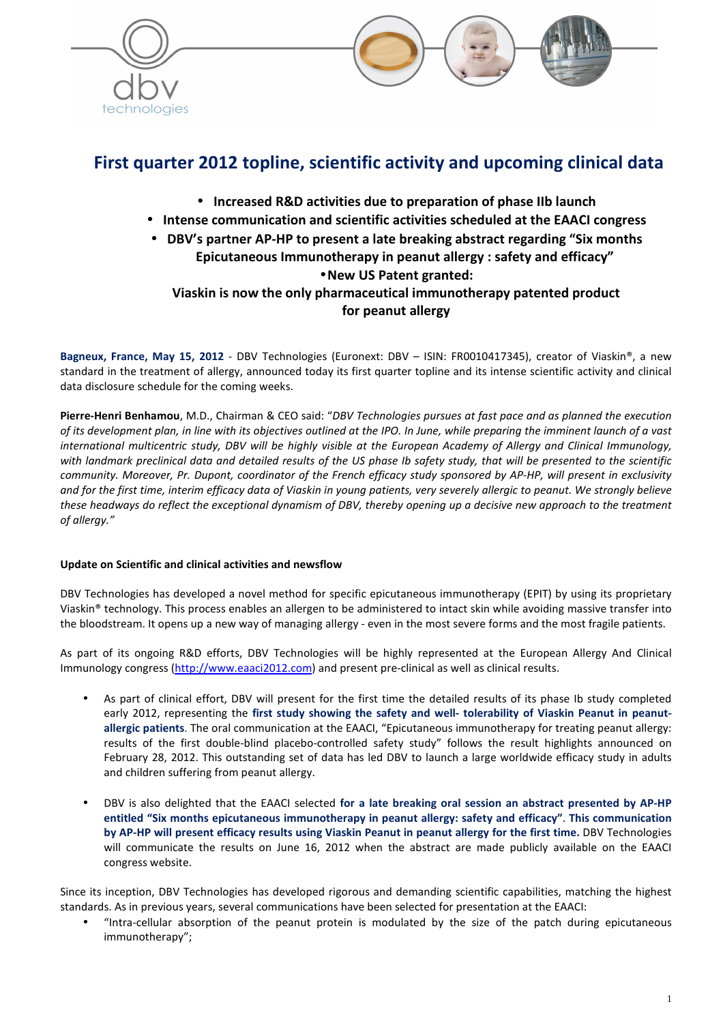



# **First quarter 2012 topline, scientific activity and upcoming clinical data**

- **Increased R&D activities due to preparation of phase IIb launch**
- **Intense communication and scientific activities scheduled at the EAACI congress**
- **DBV's partner AP-HP to present a late breaking abstract regarding "Six months Epicutaneous Immunotherapy in peanut allergy : safety and efficacy"**  •**New US Patent granted: Viaskin is now the only pharmaceutical immunotherapy patented product for peanut allergy**

**Bagneux, France, May 15, 2012** - DBV Technologies (Euronext: DBV – ISIN: FR0010417345), creator of Viaskin®, a new standard in the treatment of allergy, announced today its first quarter topline and its intense scientific activity and clinical data disclosure schedule for the coming weeks.

**Pierre-Henri Benhamou**, M.D., Chairman & CEO said: "*DBV Technologies pursues at fast pace and as planned the execution of its development plan, in line with its objectives outlined at the IPO. In June, while preparing the imminent launch of a vast international multicentric study, DBV will be highly visible at the European Academy of Allergy and Clinical Immunology, with landmark preclinical data and detailed results of the US phase Ib safety study, that will be presented to the scientific community. Moreover, Pr. Dupont, coordinator of the French efficacy study sponsored by AP-HP, will present in exclusivity and for the first time, interim efficacy data of Viaskin in young patients, very severely allergic to peanut. We strongly believe these headways do reflect the exceptional dynamism of DBV, thereby opening up a decisive new approach to the treatment of allergy."* 

# **Update on Scientific and clinical activities and newsflow**

DBV Technologies has developed a novel method for specific epicutaneous immunotherapy (EPIT) by using its proprietary Viaskin® technology. This process enables an allergen to be administered to intact skin while avoiding massive transfer into the bloodstream. It opens up a new way of managing allergy - even in the most severe forms and the most fragile patients.

As part of its ongoing R&D efforts, DBV Technologies will be highly represented at the European Allergy And Clinical Immunology congress (http://www.eaaci2012.com) and present pre-clinical as well as clinical results.

- As part of clinical effort, DBV will present for the first time the detailed results of its phase Ib study completed early 2012, representing the **first study showing the safety and well- tolerability of Viaskin Peanut in peanutallergic patients**. The oral communication at the EAACI, "Epicutaneous immunotherapy for treating peanut allergy: results of the first double-blind placebo-controlled safety study" follows the result highlights announced on February 28, 2012. This outstanding set of data has led DBV to launch a large worldwide efficacy study in adults and children suffering from peanut allergy.
- DBV is also delighted that the EAACI selected **for a late breaking oral session an abstract presented by AP-HP entitled "Six months epicutaneous immunotherapy in peanut allergy: safety and efficacy"**. **This communication by AP-HP will present efficacy results using Viaskin Peanut in peanut allergy for the first time.** DBV Technologies will communicate the results on June 16, 2012 when the abstract are made publicly available on the EAACI congress website.

Since its inception, DBV Technologies has developed rigorous and demanding scientific capabilities, matching the highest standards. As in previous years, several communications have been selected for presentation at the EAACI:

• "Intra-cellular absorption of the peanut protein is modulated by the size of the patch during epicutaneous immunotherapy";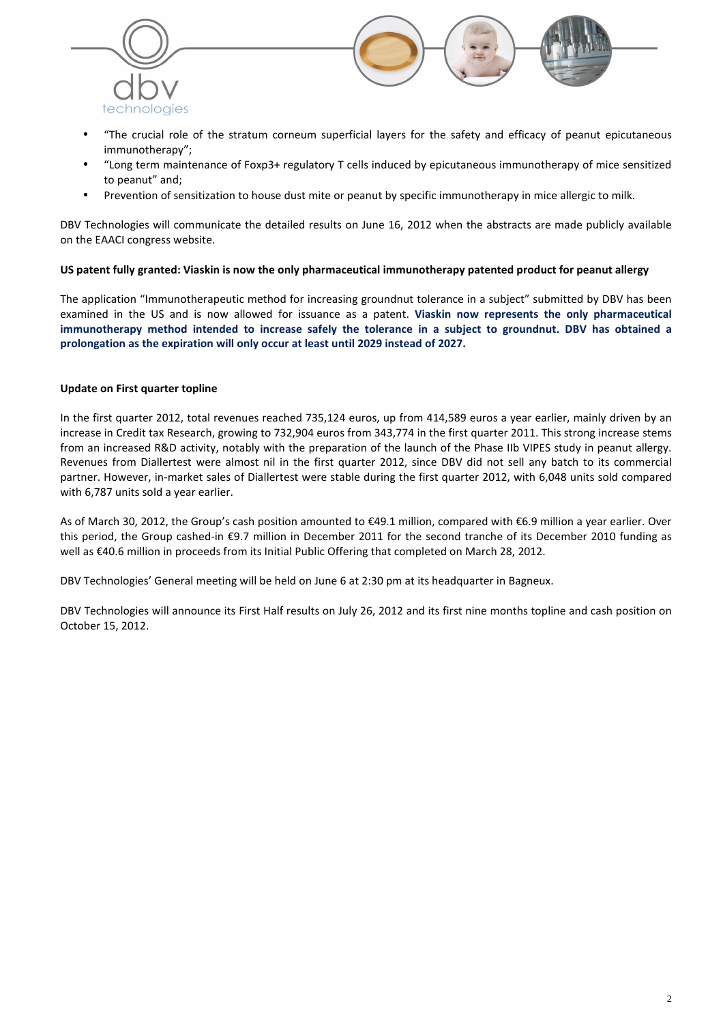

- "The crucial role of the stratum corneum superficial layers for the safety and efficacy of peanut epicutaneous immunotherapy";
- "Long term maintenance of Foxp3+ regulatory T cells induced by epicutaneous immunotherapy of mice sensitized to peanut" and;
- Prevention of sensitization to house dust mite or peanut by specific immunotherapy in mice allergic to milk.

DBV Technologies will communicate the detailed results on June 16, 2012 when the abstracts are made publicly available on the EAACI congress website.

### **US patent fully granted: Viaskin is now the only pharmaceutical immunotherapy patented product for peanut allergy**

The application "Immunotherapeutic method for increasing groundnut tolerance in a subject" submitted by DBV has been examined in the US and is now allowed for issuance as a patent. **Viaskin now represents the only pharmaceutical immunotherapy method intended to increase safely the tolerance in a subject to groundnut. DBV has obtained a prolongation as the expiration will only occur at least until 2029 instead of 2027.** 

## **Update on First quarter topline**

In the first quarter 2012, total revenues reached 735,124 euros, up from 414,589 euros a year earlier, mainly driven by an increase in Credit tax Research, growing to 732,904 euros from 343,774 in the first quarter 2011. This strong increase stems from an increased R&D activity, notably with the preparation of the launch of the Phase IIb VIPES study in peanut allergy. Revenues from Diallertest were almost nil in the first quarter 2012, since DBV did not sell any batch to its commercial partner. However, in-market sales of Diallertest were stable during the first quarter 2012, with 6,048 units sold compared with 6,787 units sold a year earlier.

As of March 30, 2012, the Group's cash position amounted to €49.1 million, compared with €6.9 million a year earlier. Over this period, the Group cashed-in €9.7 million in December 2011 for the second tranche of its December 2010 funding as well as €40.6 million in proceeds from its Initial Public Offering that completed on March 28, 2012.

DBV Technologies' General meeting will be held on June 6 at 2:30 pm at its headquarter in Bagneux.

DBV Technologies will announce its First Half results on July 26, 2012 and its first nine months topline and cash position on October 15, 2012.